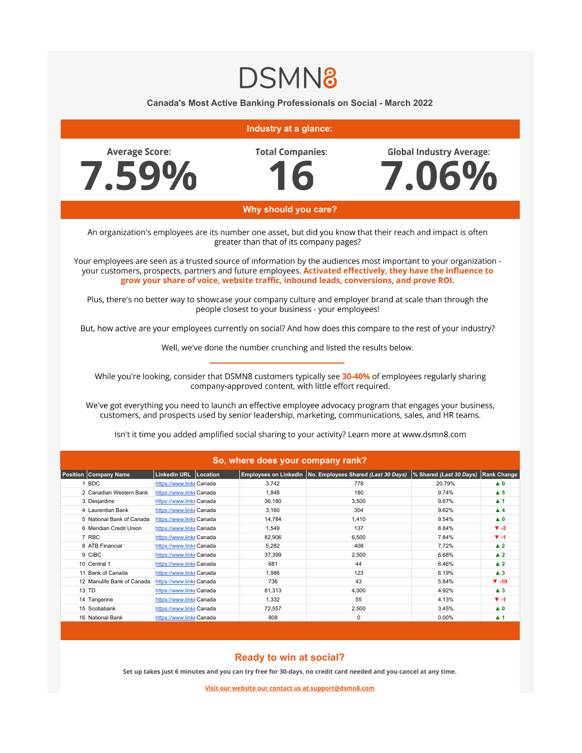## **DSMN8**

**Canada's Most Active Banking Professionals on Social - March 2022**



## **Ready to win at social?**

15 Scotiabank **[https://www.linke](https://www.linkedin.com/company/scotiabank/)** Canada 72,557 2,550 2,500 3.45% **3.45% <b>▲ 0** 16 National Bank **[https://www.linke](https://www.linkedin.com/company/national-bank/)dinational-bank/ Canada** 808 0 0 0.00% **▲ 1** 

**Set up takes just 6 minutes and you can try free for 30-days, no credit card needed and you cancel at any time.**

**Visit our website our contact us at support@dsmn8.com**